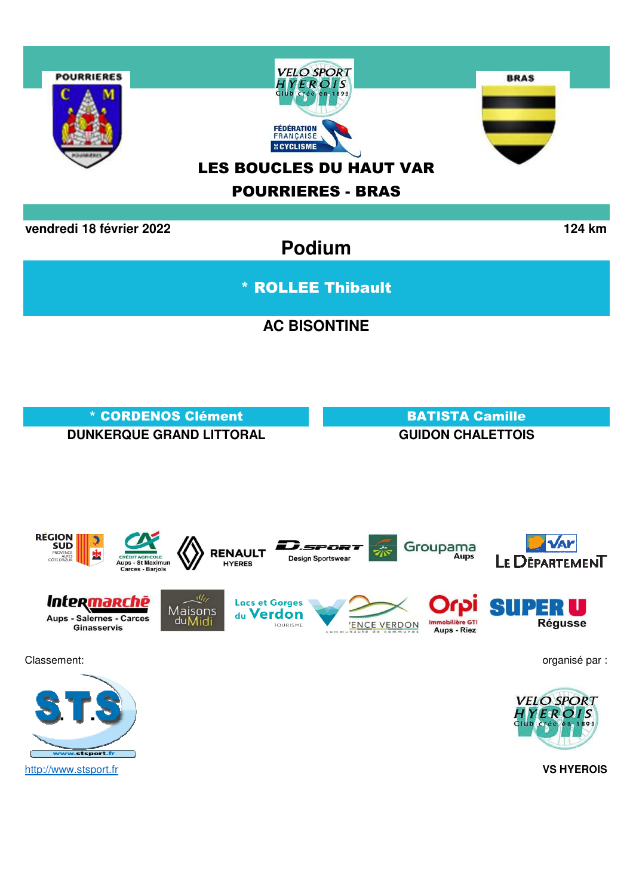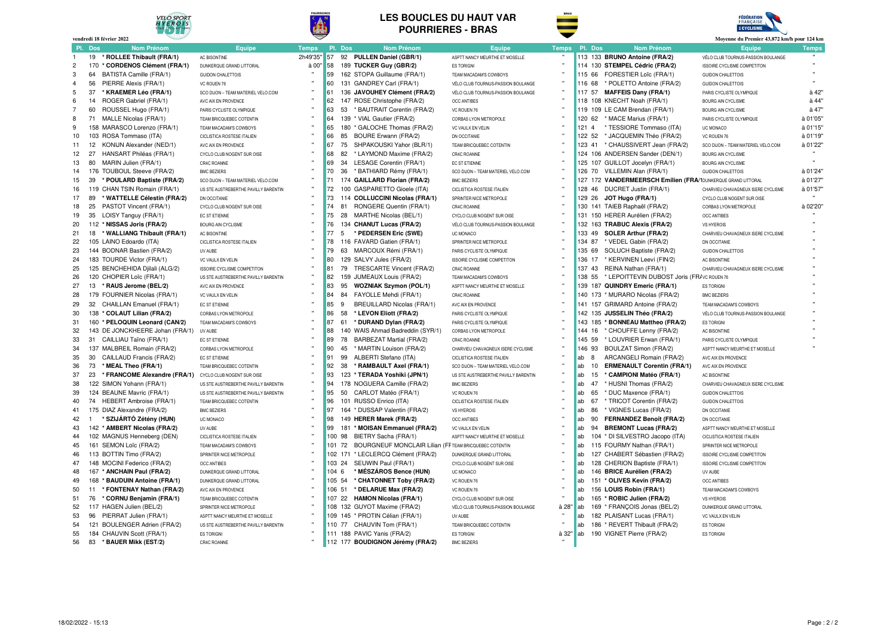

**vendredi 18 février 2022**

#### **LES BOUCLES DU HAUT VARPOURRIERES - BRAS**





|                | vendredi 18 février 2022                    |                                                      |              |           |                                                              |                                      |              |     |                                                              | Moyenne du Premier 43,872 km/h pour 124 km                               |              |
|----------------|---------------------------------------------|------------------------------------------------------|--------------|-----------|--------------------------------------------------------------|--------------------------------------|--------------|-----|--------------------------------------------------------------|--------------------------------------------------------------------------|--------------|
| PI.            | <b>Dos</b><br><b>Nom Prénom</b>             | Equipe                                               | <b>Temps</b> | Pl. Dos   | <b>Nom Prénom</b>                                            | Equipe                               | <b>Temps</b> |     | Pl. Dos<br><b>Nom Prénom</b>                                 | <b>Equipe</b>                                                            | <b>Temps</b> |
|                | * ROLLEE Thibault (FRA/1)<br>19             | AC BISONTINE                                         | 2h49'35'     | 57<br>92  | PULLEN Daniel (GBR/1)                                        | ASPTT NANCY MEURTHE ET MOSELLE       |              |     | 113 133 BRUNO Antoine (FRA/2)                                | VÉLO CLUB TOURNUS-PASSION BOULANGE                                       |              |
| $\overline{2}$ | 170<br>* CORDENOS Clément (FRA/1)           | DUNKERQUE GRAND LITTORAL                             | à 00'        | 58        | 189 TUCKER Guy (GBR/2)                                       | <b>ES TORIGNI</b>                    |              |     | 114 130 STEMPEL Cédric (FRA/2)                               | <b>ISSOIRE CYCLISME COMPETITON</b>                                       |              |
| 3              | 64<br>BATISTA Camille (FRA/1)               | <b>GUIDON CHALETTOIS</b>                             |              | 59        | 162 STOPA Guillaume (FRA/1)                                  | TEAM MACADAM'S COWBOYS               |              |     | 115 66<br>FORESTIER Loïc (FRA/1)                             | <b>GUIDON CHALETTOIS</b>                                                 |              |
| $\overline{4}$ | PIERRE Alexis (FRA/1)<br>56                 | VC ROUEN 76                                          |              | 60        | 131 GANDREY Carl (FRA/1)                                     | VÉLO CLUB TOURNUS-PASSION BOULANGE   |              |     | 116 68<br>* POLETTO Antoine (FRA/2)                          | <b>GUIDON CHALETTOIS</b>                                                 |              |
| 5              | 37<br>* KRAEMER Léo (FRA/1)                 | SCO DIJON - TEAM MATERIEL VELO.COM                   |              | 61        | 136 JAVOUHEY Clément (FRA/2)                                 | VÉLO CLUB TOURNUS-PASSION BOULANGE   |              |     | 117 57<br><b>MAFFEIS Dany (FRA/1)</b>                        | PARIS CYCLISTE OLYMPIQUE                                                 | à 42"        |
| 6              | 14<br>ROGER Gabriel (FRA/1)                 | AVC AIX EN PROVENCE                                  |              | 62        | 147 ROSE Christophe (FRA/2)                                  | <b>OCC ANTIBES</b>                   |              |     | 118 108 KNECHT Noah (FRA/1)                                  | <b>BOURG AIN CYCLISME</b>                                                | à 44"        |
| 7              | 60<br>ROUSSEL Hugo (FRA/1)                  | PARIS CYCLISTE OLYMPIQUE                             |              | 63<br>53  | * BAUTRAIT Corentin (FRA/2)                                  | VC ROUEN 76                          |              |     | 119 109 LE CAM Brendan (FRA/1)                               | <b>BOURG AIN CYCLISME</b>                                                | à 47'        |
| 8              | MALLE Nicolas (FRA/1)<br>71                 | TEAM BRICQUEBEC COTENTIN                             |              | 64<br>139 | * VIAL Gautier (FRA/2)                                       | CORBAS LYON METROPOLE                |              |     | 120 62<br>* MACE Marius (FRA/1)                              | PARIS CYCLISTE OLYMPIQUE                                                 | à 01'05"     |
| 9              | 158 MARASCO Lorenzo (FRA/1)                 | TEAM MACADAM'S COWBOYS                               |              | 65<br>180 | * GALOCHE Thomas (FRA/2)                                     | VC VAULX EN VELIN                    |              | 121 | $\overline{4}$<br>* TESSIORE Tommaso (ITA)                   | UC MONACO                                                                | à 01'15"     |
| 10             | 103 ROSA Tommaso (ITA)                      | CICLISTICA ROSTESE ITALIEN                           |              | 66<br>85  | <b>BOURE Erwann (FRA/2)</b>                                  | DN OCCITANIE                         |              |     | 122 52<br>* JACQUEMIN Théo (FRA/2)                           | VC ROUEN 76                                                              | à 01'19"     |
| 11             | 12 <sup>2</sup><br>KONIJN Alexander (NED/1) | AVC AIX EN PROVENCE                                  |              | 75<br>67  | SHPAKOUSKI Yahor (BLR/1)                                     | TEAM BRICQUEBEC COTENTIN             |              |     | 123 41<br>* CHAUSSIVERT Jean (FRA/2)                         | SCO DIJON - TEAM MATERIEL VELO.COM                                       | à 01'22"     |
| 12             | 27<br>HANSART Philéas (FRA/1)               | CYCLO CLUB NOGENT SUR OISE                           |              | 68<br>82  | * LAYMOND Maxime (FRA/2)                                     | CR4C ROANNE                          |              |     | 124 106 ANDERSEN Sander (DEN/1)                              | <b>BOURG AIN CYCLISME</b>                                                |              |
| 13             | 80<br>MARIN Julien (FRA/1)                  | CR4C ROANNE                                          |              | 69<br>34  | LESAGE Corentin (FRA/1)                                      | EC ST ETIENNE                        |              |     | 125 107 GUILLOT Jocelyn (FRA/1)                              | <b>BOURG AIN CYCLISME</b>                                                |              |
| 14             | 176 TOUBOUL Steeve (FRA/2)                  | <b>BMC BEZIERS</b>                                   |              | 36<br>70  | * BATHIARD Rémy (FRA/1)                                      | SCO DIJON - TEAM MATERIEL VELO.COM   |              |     | 126 70<br>VILLEMIN Alan (FRA/1)                              | <b>GUIDON CHALETTOIS</b>                                                 | à 01'24'     |
| 15             | 39<br>* POULARD Baptiste (FRA/2)            | SCO DIJON - TEAM MATERIEL VELO.COM                   |              | 71<br>174 | <b>GAILLARD Florian (FRA/2)</b>                              | <b>BMC BEZIERS</b>                   |              |     | 127 172 VANDERMEERSCH Emilien (FRA/1DUNKERQUE GRAND LITTORAL |                                                                          | à 01'27"     |
| 16             | 119 CHAN TSIN Romain (FRA/1)                | US STE AUSTREBERTHE PAVILLY BARENTIN                 |              | 72        | 100 GASPARETTO Gioele (ITA)                                  | CICLISTICA ROSTESE ITALIEN           |              |     | 128 46<br>DUCRET Justin (FRA/1)                              | CHARVIEU CHAVAGNEUX ISERE CYCLISME                                       | à 01'57'     |
| 17             | 89<br>* WATTELLE Célestin (FRA/2)           | DN OCCITANIE                                         |              | 73<br>114 | <b>COLLUCCINI Nicolas (FRA/1)</b>                            | SPRINTER NICE METROPOLE              |              |     | 129 26<br>JOT Hugo (FRA/1)                                   | CYCLO CLUB NOGENT SUR OISE                                               |              |
| 18             | 25<br>PASTOT Vincent (FRA/1)                | CYCLO CLUB NOGENT SUR OISE                           |              | 74<br>81  | RONGERE Quentin (FRA/1)                                      | CR4C ROANNE                          |              |     | 130 141 TAIEB Raphaël (FRA/2)                                | CORBAS LYON METROPOLE                                                    | à 02'20'     |
| 19             | 35 LOISY Tanguy (FRA/1)                     | EC ST ETIENNE                                        |              | 75<br>28  | MARTHE Nicolas (BEL/1)                                       | CYCLO CLUB NOGENT SUR OISE           |              |     | 131 150 HERER Aurélien (FRA/2)                               | <b>OCC ANTIBES</b>                                                       |              |
| 20             | 112 * NISSAS Joris (FRA/2)                  | <b>BOURG AIN CYCLISME</b>                            |              | 76<br>134 | <b>CHANUT Lucas (FRA/2)</b>                                  | VÉLO CLUB TOURNUS-PASSION BOULANGE   |              |     | 132 163 TRABUC Alexis (FRA/2)                                | <b>VS HYEROIS</b>                                                        |              |
| 21             | 18<br>* WALLIANG Thibault (FRA/1)           | AC BISONTINE                                         |              | 77<br>5   | * PEDERSEN Eric (SWE)                                        | UC MONACO                            |              |     | 133 49<br><b>SOLER Arthur (FRA/2)</b>                        | CHARVIEU CHAVAGNEUX ISERE CYCLISME                                       |              |
| 22             | 105 LAINO Edoardo (ITA)                     | CICLISTICA ROSTESE ITALIEN                           |              | 78        | 116 FAVARD Gatien (FRA/1)                                    | SPRINTER NICE METROPOLE              |              |     | 134 87<br>* VEDEL Gabin (FRA/2)                              | DN OCCITANIE                                                             |              |
| 23             | 144 BODNAR Bastien (FRA/2)                  | <b>LIV AURE</b>                                      |              | 79<br>63  | MARCOUX Rémi (FRA/1)                                         | PARIS CYCLISTE OLYMPIQUE             |              |     | 135 69<br>SOLUCH Baptiste (FRA/2)                            | <b>GUIDON CHALETTOIS</b>                                                 |              |
| 24             | 183 TOURDE Victor (FRA/1)                   | VC VAULX EN VELIN                                    |              | 80        | 129 SALVY Jules (FRA/2)                                      | <b>ISSOIRE CYCLISME COMPETITON</b>   |              |     | 136 17<br>* KERVINEN Leevi (FIN/2)                           | <b>AC BISONTINE</b>                                                      |              |
| 25             | 125 BENCHEHIDA Djilali (ALG/2)              | <b>ISSOIRE CYCLISME COMPETITON</b>                   |              | 81<br>79  | TRESCARTE Vincent (FRA/2)                                    | CR4C ROANNE                          |              |     | 137 43<br>REINA Nathan (FRA/1)                               | CHARVIEU CHAVAGNEUX ISERE CYCLISME                                       |              |
| 26             | 120 CHOPIER Loïc (FRA/1)                    | US STE AUSTREBERTHE PAVILLY BARENTIN                 |              | 82        | 159 JUMEAUX Louis (FRA/2)                                    | TEAM MACADAM'S COWBOYS               |              |     | 138 55<br>* LEPOITTEVIN DUBOST Joris (FR/VC ROUEN 76         |                                                                          |              |
| 27             | 13 * RAUS Jerome (BEL/2)                    | AVC AIX EN PROVENCE                                  |              | 95<br>83  | <b>WOZNIAK Szymon (POL/1)</b>                                | ASPTT NANCY MEURTHE ET MOSELLE       |              |     | 139 187 QUINDRY Emeric (FRA/1)                               | <b>ES TORIGNI</b>                                                        |              |
| 28             | 179 FOURNIER Nicolas (FRA/1)                | VC VAULX EN VELIN                                    |              | 84<br>84  | FAYOLLE Mehdi (FRA/1)                                        | CR4C ROANNE                          |              |     | 140 173 * MURARO Nicolas (FRA/2)                             | <b>BMC BEZIERS</b>                                                       |              |
| 29             | 32 CHAILLAN Emanuel (FRA/1)                 | EC ST ETIENNE                                        |              | 85<br>9   | BREUILLARD Nicolas (FRA/1)                                   | AVC AIX EN PROVENCE                  |              |     | 141 157 GRIMARD Antoine (FRA/2)                              | TEAM MACADAM'S COWBOYS                                                   |              |
| 30             | 138 * COLAUT Lilian (FRA/2)                 | CORBAS I YON METROPOLE                               |              | 86<br>58  | * LEVON Eliott (FRA/2)                                       | PARIS CYCLISTE OLYMPIQUE             |              |     | 142 135 JUSSELIN Théo (FRA/2)                                | VÉLO CLUB TOURNUS-PASSION BOULANGE                                       |              |
| 31             | 160 * PELOQUIN Leonard (CAN/2)              | TEAM MACADAM'S COWROYS                               |              | 87<br>61  | * DURAND Dylan (FRA/2)                                       | PARIS CYCLISTE OLYMPIQUE             |              |     | 143 185<br>* BONNEAU Mattheo (FRA/2)                         | <b>ES TORIGNI</b>                                                        |              |
| 32             | 143 DE JONCKHEERE Johan (FRA/1)             | <b>LIV AURE</b>                                      |              | 88        | 140 WAIS Ahmad Badreddin (SYR/1)                             | CORBAS LYON METROPOLE                |              | 144 | * CHOUFFE Lenny (FRA/2)<br>16                                | <b>AC BISONTINE</b>                                                      |              |
| 33             | 31<br>CAILLIAU Taïno (FRA/1)                | EC ST ETIENNE                                        |              | 89<br>78  | <b>BARBEZAT Martial (FRA/2)</b>                              | CR4C ROANNE                          |              |     | 145 59<br>* LOUVRIER Erwan (FRA/1)                           | PARIS CYCLISTE OLYMPIQUE                                                 |              |
| 34             | 137 MALBREIL Romain (FRA/2)                 | CORBAS LYON METROPOLE                                |              | 90<br>45  | * MARTIN Louison (FRA/2)                                     | CHARVIEU CHAVAGNEUX ISERE CYCLISME   |              |     | 146 93<br>BOULZAT Simon (FRA/2)                              | ASPTT NANCY MEURTHE ET MOSELLE                                           |              |
| 35             | CAILLAUD Francis (FRA/2)<br>30              | EC ST ETIENNE                                        |              | 91<br>99  | ALBERTI Stefano (ITA)                                        | CICLISTICA ROSTESE ITALIEN           |              | ab  | ARCANGELI Romain (FRA/2)<br>-8                               | AVC AIX EN PROVENCE                                                      |              |
| 36             | 73<br>* MEAL Theo (FRA/1)                   | TEAM BRICQUEBEC COTENTIN                             |              | 92<br>-38 | * RAMBAULT Axel (FRA/1)                                      | SCO DIJON - TEAM MATERIEL VELO.COM   |              | ab  | 10<br><b>ERMENAULT Corentin (FRA/1)</b>                      | AVC AIX EN PROVENCE                                                      |              |
| 37             | 23<br>* FRANCOME Alexandre (FRA/1)          | CYCLO CLUB NOGENT SUR OISE                           |              | 93        | 123 * TERADA Yoshiki (JPN/1)                                 | US STE AUSTREBERTHE PAVILLY BARENTIN |              | ab  | * CAMPIONI Matéo (FRA/1)<br>15                               | <b>AC BISONTINE</b>                                                      |              |
| 38             | 122 SIMON Yohann (FRA/1)                    | US STE AUSTREBERTHE PAVILLY BARENTIN                 |              | 94        | 178 NOGUERA Camille (FRA/2)                                  | <b>BMC BEZIERS</b>                   |              | ab  | 47<br>* HUSNI Thomas (FRA/2)                                 | CHARVIEU CHAVAGNEUX ISERE CYCLISME                                       |              |
| 39             | 124 BEAUNE Mavric (FRA/1)                   | US STE AUSTREBERTHE PAVILLY BARENTIN                 |              | 95<br>50  | CARLOT Matéo (FRA/1)                                         | VC ROUEN 76                          |              | ab  | 65<br>* DUC Maxence (FRA/1)                                  | <b>GUIDON CHALETTOIS</b>                                                 |              |
| 40             | 74 HEBERT Ambroise (FRA/1)                  | TEAM BRICQUEBEC COTENTIN                             |              | 96<br>101 | RUSSO Enrico (ITA)                                           | CICLISTICA ROSTESE ITALIEN           |              | ab  | 67<br>* TRICOT Corentin (FRA/2)                              | <b>GUIDON CHALETTOIS</b>                                                 |              |
| 41             | 175 DIAZ Alexandre (FRA/2)                  | <b>BMC BEZIERS</b>                                   |              | 97        | 164 * DUSSAP Valentin (FRA/2)                                | <b>VS HYEROIS</b>                    |              | ab  | 86<br>* VIGNES Lucas (FRA/2)                                 | DN OCCITANIE                                                             |              |
| 42             | * SZIJÁRTÓ Zétény (HUN)<br>$\mathbf{1}$     | UC MONACO                                            |              | 98        | 149 HERER Marek (FRA/2)                                      | <b>OCC ANTIBES</b>                   |              | ab  | 90<br><b>FERNANDEZ Benoît (FRA/2)</b>                        | DN OCCITANIE                                                             |              |
| 43             | 142 * AMBERT Nicolas (FRA/2)                | UV AUBE                                              |              | 99<br>181 | * MOISAN Emmanuel (FRA/2)                                    | <b>VC VAULX EN VELIN</b>             |              | ab  | 94<br><b>BREMONT Lucas (FRA/2)</b>                           | ASPTT NANCY MEURTHE ET MOSELLE                                           |              |
| 44             | 102 MAGNUS Henneberg (DEN)                  | CICLISTICA ROSTESE ITALIEN                           |              | 100 98    | BIETRY Sacha (FRA/1)                                         | ASPTT NANCY MEURTHE ET MOSELLE       |              | ab  | 104 * DI SILVESTRO Jacopo (ITA)                              | CICLISTICA ROSTESE ITALIEN                                               |              |
| 45             | 161 SEMON Loïc (FRA/2)                      | TEAM MACADAM'S COWBOYS                               |              | 101 72    | <b>BOURGNEUF MONCLAIR Lilian (FFTEAM BRICQUEBEC COTENTIN</b> |                                      |              | ab  | 115 FOURMY Nathan (FRA/1)                                    | SPRINTER NICE METROPOLE                                                  |              |
| 46             | 113 BOTTIN Timo (FRA/2)                     | SPRINTER NICE METROPOLE                              |              |           | 102 171 * LECLERCQ Clément (FRA/2)                           | DUNKERQUE GRAND LITTORAL             |              | ab  | 127 CHABERT Sébastien (FRA/2)                                |                                                                          |              |
| 47             | 148 MOCINI Federico (FRA/2)                 | <b>OCC ANTIBES</b>                                   |              | 103 24    | SEUWIN Paul (FRA/1)                                          | CYCLO CLUB NOGENT SUR OISE           |              | ab  | 128 CHERION Baptiste (FRA/1)                                 | <b>ISSOIRE CYCLISME COMPETITON</b><br><b>ISSOIRE CYCLISME COMPETITON</b> |              |
| 48             | 167 * ANCHAIN Paul (FRA/2)                  |                                                      |              | 104 6     | * MÉSZÁROS Bence (HUN)                                       |                                      |              | ab  | 146 BRICE Aurélien (FRA/2)                                   |                                                                          |              |
| 49             | 168 * BAUDUIN Antoine (FRA/1)               | DUNKERQUE GRAND LITTORAL<br>DUNKERQUE GRAND LITTORAL |              | 105 54    | * CHATONNET Toby (FRA/2)                                     | UC MONACO<br>VC ROUEN 76             |              | ab  | 151 * OLIVES Kevin (FRA/2)                                   | UV AUBE<br><b>OCC ANTIBES</b>                                            |              |
| 50             | * FONTENAY Nathan (FRA/2)<br>11             |                                                      |              | 106 51    | * DELARUE Max (FRA/2)                                        | VC ROUEN 76                          |              | ab  | 156 LOUIS Robin (FRA/1)                                      |                                                                          |              |
| 51             | 76<br>* CORNU Benjamin (FRA/1)              | AVC AIX EN PROVENCE<br>TEAM BRICQUEBEC COTENTIN      |              |           | 107 22 HAMON Nicolas (FRA/1)                                 | CYCLO CLUB NOGENT SUR OISE           |              | ab  | 165 * ROBIC Julien (FRA/2)                                   | TEAM MACADAM'S COWBOYS<br><b>VS HYEROIS</b>                              |              |
| 52             | 117 HAGEN Julien (BEL/2)                    | SPRINTER NICE METROPOLE                              |              |           | 108 132 GUYOT Maxime (FRA/2)                                 | VÉLO CLUB TOURNUS-PASSION BOULANGE   | à 28         | ab  | * FRANÇOIS Jonas (BEL/2)<br>169                              | DUNKERQUE GRAND LITTORAL                                                 |              |
| 53             | 96 PIERRAT Julien (FRA/1)                   | ASPTT NANCY MEURTHE ET MOSELLE                       |              |           | 109 145 * PROTIN Célian (FRA/1)                              | UV AUBE                              |              | ab  | 182 PLAISANT Lucas (FRA/1)                                   | VC VAULX EN VELIN                                                        |              |
| 54             | 121 BOULENGER Adrien (FRA/2)                | US STE AUSTREBERTHE PAVILLY BARENTIN                 |              |           | 110 77 CHAUVIN Tom (FRA/1)                                   | TEAM BRICQUEBEC COTENTIN             |              | ab  | 186 * REVERT Thibault (FRA/2)                                | <b>ES TORIGNI</b>                                                        |              |
| 55             | 184 CHAUVIN Scott (FRA/1)                   | <b>ES TORIGNI</b>                                    |              |           | 111 188 PAVIC Yanis (FRA/2)                                  | <b>ES TORIGNI</b>                    | à 32"        | lab | 190 VIGNET Pierre (FRA/2)                                    | <b>ES TORIGNI</b>                                                        |              |
| 56             | 83 * BAUER Mikk (EST/2)                     | CR4C ROANNE                                          |              |           | 112 177 BOUDIGNON Jérémy (FRA/2)                             | <b>BMC BEZIERS</b>                   |              |     |                                                              |                                                                          |              |
|                |                                             |                                                      |              |           |                                                              |                                      |              |     |                                                              |                                                                          |              |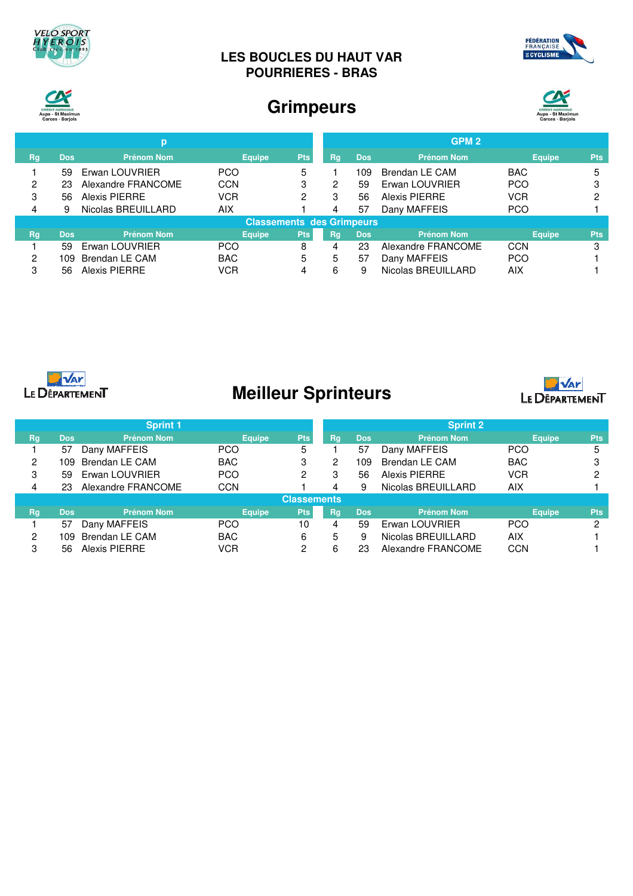

### **LES BOUCLES DU HAUT VAR POURRIERES - BRAS**





## **Grimpeurs**



|                                  |            | р                  |               |            |           |            | GPM <sub>2</sub>   |               |            |
|----------------------------------|------------|--------------------|---------------|------------|-----------|------------|--------------------|---------------|------------|
| <b>Rg</b>                        | <b>Dos</b> | <b>Prénom Nom</b>  | <b>Equipe</b> | <b>Pts</b> | Rg        | <b>Dos</b> | <b>Prénom Nom</b>  | <b>Equipe</b> | <b>Pts</b> |
|                                  | 59         | Erwan LOUVRIER     | <b>PCO</b>    | 5          |           | 109        | Brendan LE CAM     | <b>BAC</b>    |            |
| 2                                | 23         | Alexandre FRANCOME | <b>CCN</b>    | 3          | 2         | 59         | Erwan LOUVRIER     | <b>PCO</b>    |            |
| 3                                | 56         | Alexis PIERRE      | <b>VCR</b>    | 2          | 3         | 56         | Alexis PIERRE      | <b>VCR</b>    |            |
| 4                                | 9          | Nicolas BREUILLARD | <b>AIX</b>    |            | 4         | 57         | Dany MAFFEIS       | <b>PCO</b>    |            |
| <b>Classements des Grimpeurs</b> |            |                    |               |            |           |            |                    |               |            |
| Rg,                              | <b>Dos</b> | <b>Prénom Nom</b>  | <b>Equipe</b> | <b>Pts</b> | <b>Rg</b> | <b>Dos</b> | <b>Prénom Nom</b>  | <b>Equipe</b> | <b>Pts</b> |
|                                  | 59         | Erwan LOUVRIER     | <b>PCO</b>    | 8          | 4         | 23         | Alexandre FRANCOME | <b>CCN</b>    | 3          |
| ິ                                | 109.       | Brendan LE CAM     | <b>BAC</b>    | 5          | 5         | 57         | Dany MAFFEIS       | <b>PCO</b>    |            |
| 3                                | 56         | Alexis PIERRE      | VCR           | 4          | 6         | 9          | Nicolas BREUILLARD | AIX           |            |



# **Meilleur Sprinteurs**



|                    |            | <b>Sprint 1</b>    |               |            |    |            | <b>Sprint 2</b>    |               |            |
|--------------------|------------|--------------------|---------------|------------|----|------------|--------------------|---------------|------------|
| Rg                 | <b>Dos</b> | <b>Prénom Nom</b>  | <b>Equipe</b> | Pts        | Rg | <b>Dos</b> | <b>Prénom Nom</b>  | <b>Equipe</b> | <b>Pts</b> |
|                    | 57         | Dany MAFFEIS       | <b>PCO</b>    | 5          |    | 57         | Dany MAFFEIS       | <b>PCO</b>    |            |
| 2                  | 109.       | Brendan LE CAM     | <b>BAC</b>    | 3          | 2  | 109        | Brendan LE CAM     | <b>BAC</b>    |            |
| 3                  | 59         | Erwan LOUVRIER     | <b>PCO</b>    | 2          | 3  | 56         | Alexis PIERRE      | <b>VCR</b>    | ົ          |
| 4                  | 23         | Alexandre FRANCOME | <b>CCN</b>    |            | 4  | 9          | Nicolas BREUILLARD | <b>AIX</b>    |            |
| <b>Classements</b> |            |                    |               |            |    |            |                    |               |            |
| Rg                 | <b>Dos</b> | <b>Prénom Nom</b>  | <b>Equipe</b> | <b>Pts</b> | Rg | <b>Dos</b> | Prénom Nom         | <b>Equipe</b> | <b>Pts</b> |
|                    | 57         | Dany MAFFEIS       | <b>PCO</b>    | 10         | 4  | 59         | Erwan LOUVRIER     | <b>PCO</b>    | റ          |
| 2                  | 109        | Brendan LE CAM     | <b>BAC</b>    | 6          | 5  | 9          | Nicolas BREUILLARD | <b>AIX</b>    |            |
| 3                  | 56         | Alexis PIERRE      | <b>VCR</b>    | 2          | 6  | 23         | Alexandre FRANCOME | <b>CCN</b>    |            |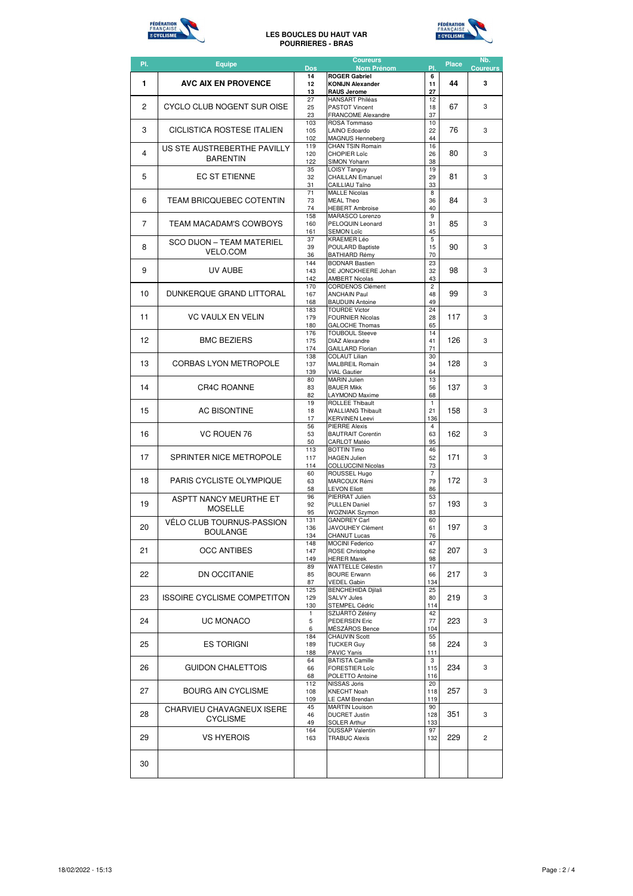

#### **LES BOUCLES DU HAUT VAR POURRIERES - BRAS**



| PI.            | <b>Equipe</b>                                   | Dos        | <b>Coureurs</b><br><b>Nom Prénom</b>               | PI.                           | <b>Place</b> | Nb.<br><b>Coureurs</b> |
|----------------|-------------------------------------------------|------------|----------------------------------------------------|-------------------------------|--------------|------------------------|
|                |                                                 | 14         | <b>ROGER Gabriel</b>                               | 6                             |              |                        |
| 1              | <b>AVC AIX EN PROVENCE</b>                      | 12<br>13   | <b>KONIJN Alexander</b><br><b>RAUS Jerome</b>      | 11<br>27                      | 44           | 3                      |
|                |                                                 | 27         | <b>HANSART Philéas</b>                             | 12                            |              |                        |
| $\overline{c}$ | CYCLO CLUB NOGENT SUR OISE                      |            | <b>PASTOT Vincent</b>                              | 18                            | 67           | 3                      |
|                |                                                 |            | <b>FRANCOME Alexandre</b><br>ROSA Tommaso          | 37<br>10                      |              |                        |
| 3              | CICLISTICA ROSTESE ITALIEN                      |            | LAINO Edoardo                                      | 22                            | 76           | 3                      |
|                |                                                 | 102<br>119 | <b>MAGNUS Henneberg</b><br><b>CHAN TSIN Romain</b> | 44<br>16                      |              |                        |
| 4              | US STE AUSTREBERTHE PAVILLY                     | 120        | CHOPIER Loïc                                       | 26                            | 80           | 3                      |
|                | <b>BARENTIN</b>                                 | 122        | SIMON Yohann                                       | 38                            |              |                        |
| 5              | EC ST ETIENNE                                   | 35<br>32   | <b>LOISY Tanguy</b><br><b>CHAILLAN Emanuel</b>     | 19<br>29                      | 81           | 3                      |
|                |                                                 | 31         | CAILLIAU Taïno                                     | 33                            |              |                        |
| 6              | TEAM BRICQUEBEC COTENTIN                        | 71         | <b>MALLE Nicolas</b>                               | 8                             |              | 3                      |
|                |                                                 | 73<br>74   | <b>MEAL Theo</b><br><b>HEBERT Ambroise</b>         | 36<br>40                      | 84           |                        |
|                |                                                 | 158        | MARASCO Lorenzo                                    | 9                             |              |                        |
| 7              | <b>TEAM MACADAM'S COWBOYS</b>                   | 160<br>161 | PELOQUIN Leonard<br><b>SEMON Loïc</b>              | 31<br>45                      | 85           | 3                      |
|                | <b>SCO DIJON - TEAM MATERIEL</b>                | 37         | KRAEMER Léo                                        | 5                             |              |                        |
| 8              | <b>VELO.COM</b>                                 | 39         | POULARD Baptiste                                   | 15                            | 90           | 3                      |
|                |                                                 | 36<br>144  | <b>BATHIARD Rémy</b><br><b>BODNAR Bastien</b>      | 70<br>23                      |              |                        |
| 9              | UV AUBE                                         | 143        | DE JONCKHEERE Johan                                | 32                            | 98           | 3                      |
|                |                                                 | 142        | <b>AMBERT Nicolas</b>                              | 43                            |              |                        |
| 10             | DUNKERQUE GRAND LITTORAL                        | 170<br>167 | <b>CORDENOS Clément</b><br><b>ANCHAIN Paul</b>     | $\overline{\mathbf{c}}$<br>48 | 99           | 3                      |
|                |                                                 | 168        | <b>BAUDUIN Antoine</b>                             | 49                            |              |                        |
| 11             | <b>VC VAULX EN VELIN</b>                        | 183        | <b>TOURDE Victor</b>                               | 24                            | 117          | 3                      |
|                |                                                 | 179<br>180 | <b>FOURNIER Nicolas</b><br><b>GALOCHE Thomas</b>   | 28<br>65                      |              |                        |
|                |                                                 | 176        | <b>TOUBOUL Steeve</b>                              | 14                            |              |                        |
| 12             | <b>BMC BEZIERS</b>                              | 175<br>174 | <b>DIAZ Alexandre</b><br><b>GAILLARD Florian</b>   | 41<br>71                      | 126          | 3                      |
|                |                                                 | 138        | <b>COLAUT Lilian</b>                               | 30                            |              |                        |
| 13             | CORBAS LYON METROPOLE                           | 137        | <b>MALBREIL Romain</b>                             | 34                            | 128          | 3                      |
|                |                                                 | 139<br>80  | <b>VIAL Gautier</b><br><b>MARIN Julien</b>         | 64<br>13                      |              |                        |
| 14             | <b>CR4C ROANNE</b>                              | 83         | <b>BAUER Mikk</b>                                  | 56                            | 137          | 3                      |
|                |                                                 | 82         | <b>LAYMOND Maxime</b>                              | 68                            |              |                        |
| 15             | <b>AC BISONTINE</b>                             | 19<br>18   | <b>ROLLEE Thibault</b><br><b>WALLIANG Thibault</b> | $\mathbf{1}$<br>21            | 158          | 3                      |
|                |                                                 | 17         | <b>KERVINEN Leevi</b>                              | 136                           |              |                        |
|                | VC ROUEN 76                                     | 56<br>53   | <b>PIERRE Alexis</b>                               | $\overline{4}$                |              | 3                      |
| 16             |                                                 |            | <b>BAUTRAIT Corentin</b><br><b>CARLOT Matéo</b>    | 63<br>95                      | 162          |                        |
|                |                                                 | 50<br>113  | <b>BOTTIN Timo</b>                                 | 46                            |              |                        |
| 17             | SPRINTER NICE METROPOLE                         | 117<br>114 | <b>HAGEN Julien</b><br><b>COLLUCCINI Nicolas</b>   | 52<br>73                      | 171          | 3                      |
|                |                                                 | 60         | ROUSSEL Hugo                                       | $\overline{7}$                |              |                        |
| 18             | <b>PARIS CYCLISTE OLYMPIQUE</b>                 | 63         | MARCOUX Rémi                                       | 79                            | 172          | 3                      |
|                |                                                 | 58<br>96   | <b>LEVON Eliott</b><br>PIERRAT Julien              | 86<br>53                      |              |                        |
| 19             | <b>ASPTT NANCY MEURTHE ET</b><br><b>MOSELLE</b> | 92         | <b>PULLEN Daniel</b>                               | 57                            | 193          | 3                      |
|                |                                                 | 95         | <b>WOZNIAK Szymon</b>                              | 83                            |              |                        |
| 20             | VÉLO CLUB TOURNUS-PASSION                       | 131<br>136 | <b>GANDREY Carl</b><br>JAVOUHEY Clément            | 60<br>61                      | 197          | 3                      |
|                | <b>BOULANGE</b>                                 | 134        | CHANUT Lucas                                       | 76                            |              |                        |
| 21             | <b>OCC ANTIBES</b>                              | 148<br>147 | <b>MOCINI Federico</b><br><b>ROSE Christophe</b>   | 47<br>62                      | 207          | 3                      |
|                |                                                 | 149        | <b>HERER Marek</b>                                 | 98                            |              |                        |
|                |                                                 | 89         | WATTELLE Célestin                                  | 17                            |              |                        |
| 22             | <b>DN OCCITANIE</b>                             | 85<br>87   | <b>BOURE Erwann</b><br><b>VEDEL Gabin</b>          | 66<br>134                     | 217          | 3                      |
|                |                                                 | 125        | <b>BENCHEHIDA Djilali</b>                          | 25                            |              |                        |
| 23             | <b>ISSOIRE CYCLISME COMPETITON</b>              | 129        | <b>SALVY Jules</b>                                 | 80                            | 219          | 3                      |
|                |                                                 | 130<br>1   | STEMPEL Cédric<br>SZIJÁRTÓ Zétény                  | 114<br>42                     |              |                        |
| 24             | UC MONACO                                       | 5          | <b>PEDERSEN Eric</b>                               | 77                            | 223          | 3                      |
|                |                                                 | 6          | MÉSZÁROS Bence                                     | 104                           |              |                        |
| 25             | <b>ES TORIGNI</b>                               | 184<br>189 | <b>CHAUVIN Scott</b><br><b>TUCKER Guy</b>          | 55<br>58                      | 224          | 3                      |
|                |                                                 | 188        | <b>PAVIC Yanis</b>                                 | 111                           |              |                        |
| 26             |                                                 | 64         | <b>BATISTA Camille</b>                             | 3                             |              |                        |
|                | <b>GUIDON CHALETTOIS</b>                        | 66<br>68   | FORESTIER Loïc<br>POLETTO Antoine                  | 115<br>116                    | 234          | 3                      |
|                |                                                 | 112        | NISSAS Joris                                       | 20                            |              |                        |
| 27             | <b>BOURG AIN CYCLISME</b>                       | 108        | <b>KNECHT Noah</b>                                 | 118                           | 257          | 3                      |
|                |                                                 | 109<br>45  | LE CAM Brendan<br><b>MARTIN Louison</b>            | 119<br>90                     |              |                        |
| 28             | CHARVIEU CHAVAGNEUX ISERE<br><b>CYCLISME</b>    | 46         | <b>DUCRET Justin</b>                               | 128                           | 351          | 3                      |
|                |                                                 | 49<br>164  | <b>SOLER Arthur</b><br><b>DUSSAP Valentin</b>      | 133<br>97                     |              |                        |
| 29             | <b>VS HYEROIS</b>                               | 163        | <b>TRABUC Alexis</b>                               | 132                           | 229          | 2                      |
|                |                                                 |            |                                                    |                               |              |                        |
|                |                                                 |            |                                                    |                               |              |                        |
| 30             |                                                 |            |                                                    |                               |              |                        |
|                |                                                 |            |                                                    |                               |              |                        |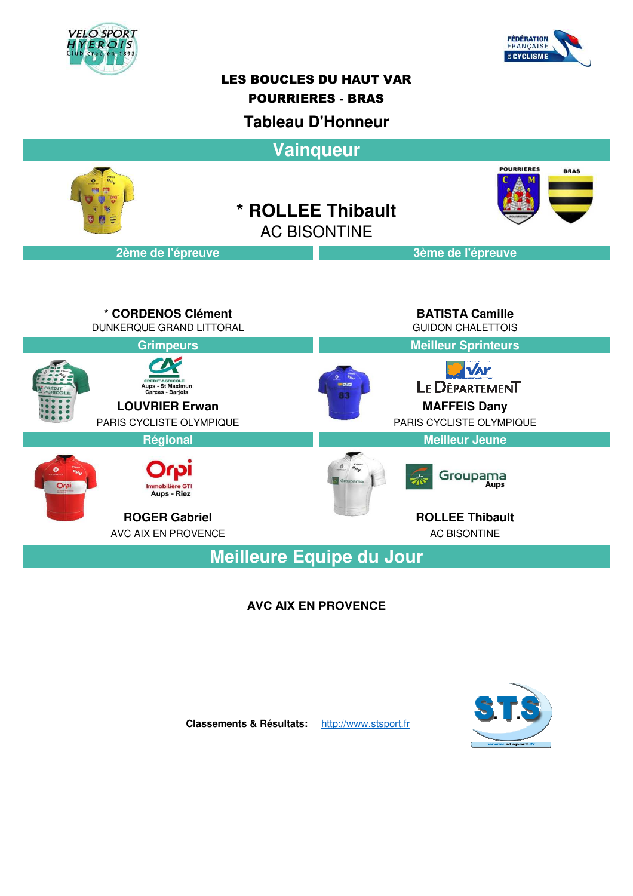



### LES BOUCLES DU HAUT VAR

### POURRIERES - BRAS

### **Tableau D'Honneur**

**Vainqueur POURRIERES BRAS \* ROLLEE Thibault** AC BISONTINE**2ème de l'épreuve 3ème de l'épreuve**

**\* CORDENOS Clément BATISTA Camille** DUNKERQUE GRAND LITTORAL GUIDON CHALETTOIS **Grimpeurs Meilleur Sprinteurs VAY** LE DEPARTEMENT Aups - St Maximun<br>Carces - Barjols **LOUVRIER Erwan MAFFEIS Dany** PARIS CYCLISTE OLYMPIQUE PARIS CYCLISTE OLYMPIQUE **Régional Meilleur Jeune** Groupama  $O<sub>CO</sub>$ Aups - Riez **ROGER Gabriel ROLLEE Thibault** AVC AIX EN PROVENCE AC BISONTINE **Meilleure Equipe du Jour**

**AVC AIX EN PROVENCE**



**Classements & Résultats:** http://www.stsport.fr